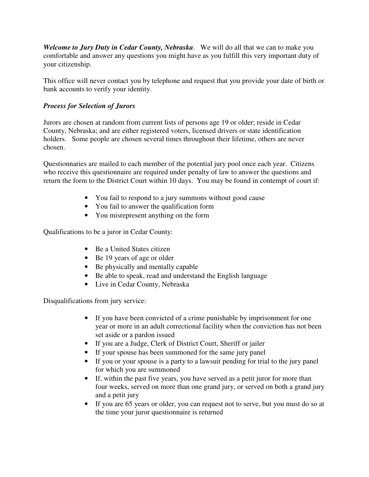*Welcome to Jury Duty in Cedar County, Nebraska*. We will do all that we can to make you comfortable and answer any questions you might have as you fulfill this very important duty of your citizenship.

This office will never contact you by telephone and request that you provide your date of birth or bank accounts to verify your identity.

## *Process for Selection of Jurors*

Jurors are chosen at random from current lists of persons age 19 or older; reside in Cedar County, Nebraska; and are either registered voters, licensed drivers or state identification holders. Some people are chosen several times throughout their lifetime, others are never chosen.

Questionnaries are mailed to each member of the potential jury pool once each year. Citizens who receive this questionnaire are required under penalty of law to answer the questions and return the form to the District Court within 10 days. You may be found in contempt of court if:

- You fail to respond to a jury summons without good cause
- You fail to answer the qualification form
- You misrepresent anything on the form

Qualifications to be a juror in Cedar County:

- Be a United States citizen
- Be 19 years of age or older
- Be physically and mentally capable
- Be able to speak, read and understand the English language
- Live in Cedar County, Nebraska

Disqualifications from jury service:

- If you have been convicted of a crime punishable by imprisonment for one year or more in an adult correctional facility when the conviction has not been set aside or a pardon issued
- If you are a Judge, Clerk of District Court, Sheriff or jailer
- If your spouse has been summoned for the same jury panel
- If you or your spouse is a party to a lawsuit pending for trial to the jury panel for which you are summoned
- If, within the past five years, you have served as a petit juror for more than four weeks, served on more than one grand jury, or served on both a grand jury and a petit jury
- If you are 65 years or older, you can request not to serve, but you must do so at the time your juror questionnaire is returned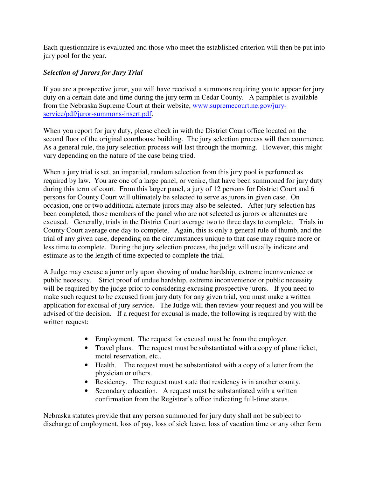Each questionnaire is evaluated and those who meet the established criterion will then be put into jury pool for the year.

## *Selection of Jurors for Jury Trial*

If you are a prospective juror, you will have received a summons requiring you to appear for jury duty on a certain date and time during the jury term in Cedar County. A pamphlet is available from the Nebraska Supreme Court at their website, www.supremecourt.ne.gov/juryservice/pdf/juror-summons-insert.pdf.

When you report for jury duty, please check in with the District Court office located on the second floor of the original courthouse building. The jury selection process will then commence. As a general rule, the jury selection process will last through the morning. However, this might vary depending on the nature of the case being tried.

When a jury trial is set, an impartial, random selection from this jury pool is performed as required by law. You are one of a large panel, or venire, that have been summoned for jury duty during this term of court. From this larger panel, a jury of 12 persons for District Court and 6 persons for County Court will ultimately be selected to serve as jurors in given case. On occasion, one or two additional alternate jurors may also be selected. After jury selection has been completed, those members of the panel who are not selected as jurors or alternates are excused. Generally, trials in the District Court average two to three days to complete. Trials in County Court average one day to complete. Again, this is only a general rule of thumb, and the trial of any given case, depending on the circumstances unique to that case may require more or less time to complete. During the jury selection process, the judge will usually indicate and estimate as to the length of time expected to complete the trial.

A Judge may excuse a juror only upon showing of undue hardship, extreme inconvenience or public necessity. Strict proof of undue hardship, extreme inconvenience or public necessity will be required by the judge prior to considering excusing prospective jurors. If you need to make such request to be excused from jury duty for any given trial, you must make a written application for excusal of jury service. The Judge will then review your request and you will be advised of the decision. If a request for excusal is made, the following is required by with the written request:

- Employment. The request for excusal must be from the employer.
- Travel plans. The request must be substantiated with a copy of plane ticket, motel reservation, etc..
- Health. The request must be substantiated with a copy of a letter from the physician or others.
- Residency. The request must state that residency is in another county.
- Secondary education. A request must be substantiated with a written confirmation from the Registrar's office indicating full-time status.

Nebraska statutes provide that any person summoned for jury duty shall not be subject to discharge of employment, loss of pay, loss of sick leave, loss of vacation time or any other form